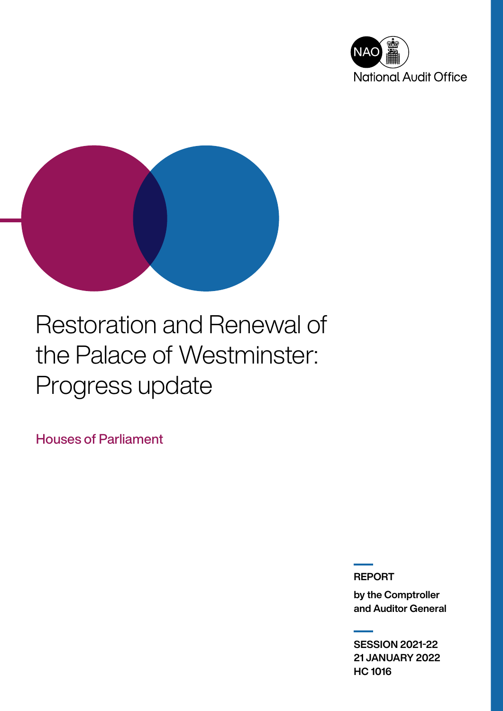



# Restoration and Renewal of the Palace of Westminster: Progress update

Houses of Parliament

REPORT

by the Comptroller and Auditor General

SESSION 2021-22 21 JANUARY 2022 HC 1016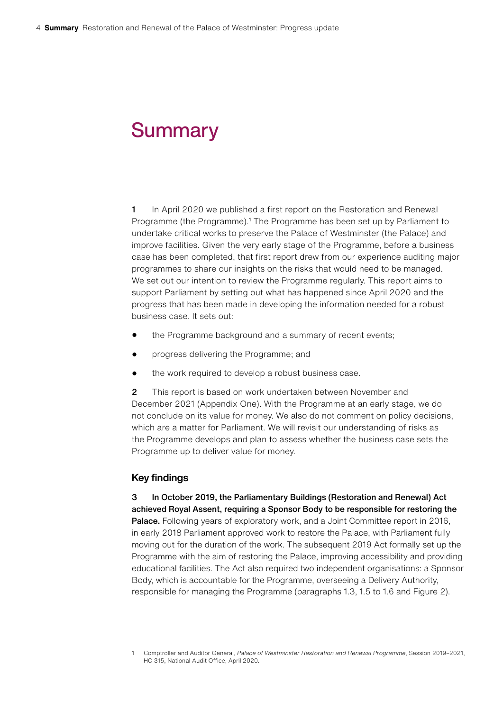# **Summary**

1 In April 2020 we published a first report on the Restoration and Renewal Programme (the Programme).<sup>1</sup> The Programme has been set up by Parliament to undertake critical works to preserve the Palace of Westminster (the Palace) and improve facilities. Given the very early stage of the Programme, before a business case has been completed, that first report drew from our experience auditing major programmes to share our insights on the risks that would need to be managed. We set out our intention to review the Programme regularly. This report aims to support Parliament by setting out what has happened since April 2020 and the progress that has been made in developing the information needed for a robust business case. It sets out:

- the Programme background and a summary of recent events;
- progress delivering the Programme; and
- the work required to develop a robust business case.

2 This report is based on work undertaken between November and December 2021 (Appendix One). With the Programme at an early stage, we do not conclude on its value for money. We also do not comment on policy decisions, which are a matter for Parliament. We will revisit our understanding of risks as the Programme develops and plan to assess whether the business case sets the Programme up to deliver value for money.

## Key findings

3 In October 2019, the Parliamentary Buildings (Restoration and Renewal) Act achieved Royal Assent, requiring a Sponsor Body to be responsible for restoring the Palace. Following years of exploratory work, and a Joint Committee report in 2016, in early 2018 Parliament approved work to restore the Palace, with Parliament fully moving out for the duration of the work. The subsequent 2019 Act formally set up the Programme with the aim of restoring the Palace, improving accessibility and providing educational facilities. The Act also required two independent organisations: a Sponsor Body, which is accountable for the Programme, overseeing a Delivery Authority, responsible for managing the Programme (paragraphs 1.3, 1.5 to 1.6 and Figure 2).

<sup>1</sup> Comptroller and Auditor General, *Palace of Westminster Restoration and Renewal Programme*, Session 2019–2021, HC 315, National Audit Office, April 2020.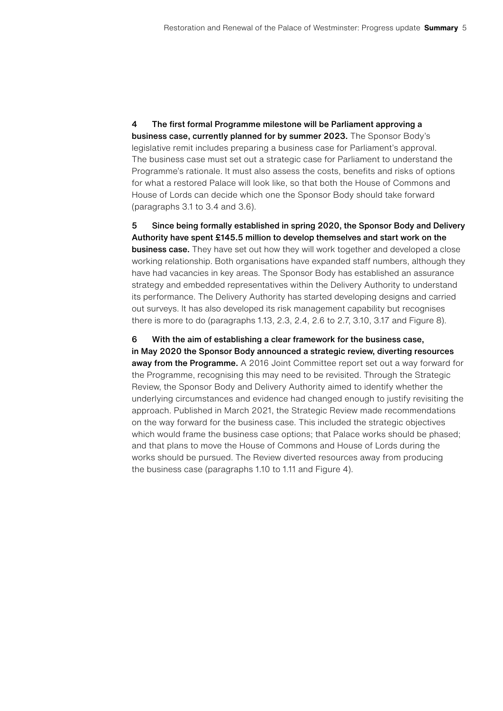4 The first formal Programme milestone will be Parliament approving a business case, currently planned for by summer 2023. The Sponsor Body's legislative remit includes preparing a business case for Parliament's approval. The business case must set out a strategic case for Parliament to understand the Programme's rationale. It must also assess the costs, benefits and risks of options for what a restored Palace will look like, so that both the House of Commons and House of Lords can decide which one the Sponsor Body should take forward (paragraphs 3.1 to 3.4 and 3.6).

5 Since being formally established in spring 2020, the Sponsor Body and Delivery Authority have spent £145.5 million to develop themselves and start work on the **business case.** They have set out how they will work together and developed a close working relationship. Both organisations have expanded staff numbers, although they have had vacancies in key areas. The Sponsor Body has established an assurance strategy and embedded representatives within the Delivery Authority to understand its performance. The Delivery Authority has started developing designs and carried out surveys. It has also developed its risk management capability but recognises there is more to do (paragraphs 1.13, 2.3, 2.4, 2.6 to 2.7, 3.10, 3.17 and Figure 8).

6 With the aim of establishing a clear framework for the business case, in May 2020 the Sponsor Body announced a strategic review, diverting resources away from the Programme. A 2016 Joint Committee report set out a way forward for the Programme, recognising this may need to be revisited. Through the Strategic Review, the Sponsor Body and Delivery Authority aimed to identify whether the underlying circumstances and evidence had changed enough to justify revisiting the approach. Published in March 2021, the Strategic Review made recommendations on the way forward for the business case. This included the strategic objectives which would frame the business case options; that Palace works should be phased; and that plans to move the House of Commons and House of Lords during the works should be pursued. The Review diverted resources away from producing the business case (paragraphs 1.10 to 1.11 and Figure 4).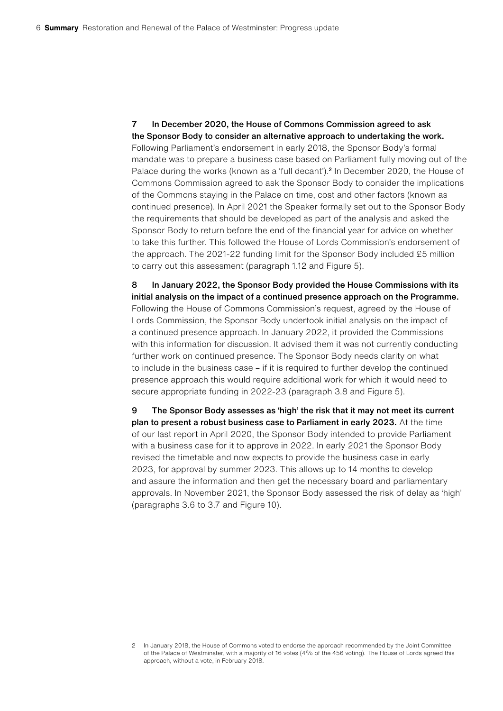7 In December 2020, the House of Commons Commission agreed to ask the Sponsor Body to consider an alternative approach to undertaking the work. Following Parliament's endorsement in early 2018, the Sponsor Body's formal mandate was to prepare a business case based on Parliament fully moving out of the Palace during the works (known as a 'full decant').<sup>2</sup> In December 2020, the House of Commons Commission agreed to ask the Sponsor Body to consider the implications of the Commons staying in the Palace on time, cost and other factors (known as continued presence). In April 2021 the Speaker formally set out to the Sponsor Body the requirements that should be developed as part of the analysis and asked the Sponsor Body to return before the end of the financial year for advice on whether to take this further. This followed the House of Lords Commission's endorsement of the approach. The 2021-22 funding limit for the Sponsor Body included £5 million to carry out this assessment (paragraph 1.12 and Figure 5).

8 In January 2022, the Sponsor Body provided the House Commissions with its initial analysis on the impact of a continued presence approach on the Programme. Following the House of Commons Commission's request, agreed by the House of Lords Commission, the Sponsor Body undertook initial analysis on the impact of a continued presence approach. In January 2022, it provided the Commissions with this information for discussion. It advised them it was not currently conducting further work on continued presence. The Sponsor Body needs clarity on what to include in the business case – if it is required to further develop the continued presence approach this would require additional work for which it would need to secure appropriate funding in 2022-23 (paragraph 3.8 and Figure 5).

9 The Sponsor Body assesses as 'high' the risk that it may not meet its current plan to present a robust business case to Parliament in early 2023. At the time of our last report in April 2020, the Sponsor Body intended to provide Parliament with a business case for it to approve in 2022. In early 2021 the Sponsor Body revised the timetable and now expects to provide the business case in early 2023, for approval by summer 2023. This allows up to 14 months to develop and assure the information and then get the necessary board and parliamentary approvals. In November 2021, the Sponsor Body assessed the risk of delay as 'high' (paragraphs 3.6 to 3.7 and Figure 10).

<sup>2</sup> In January 2018, the House of Commons voted to endorse the approach recommended by the Joint Committee of the Palace of Westminster, with a majority of 16 votes (4% of the 456 voting). The House of Lords agreed this approach, without a vote, in February 2018.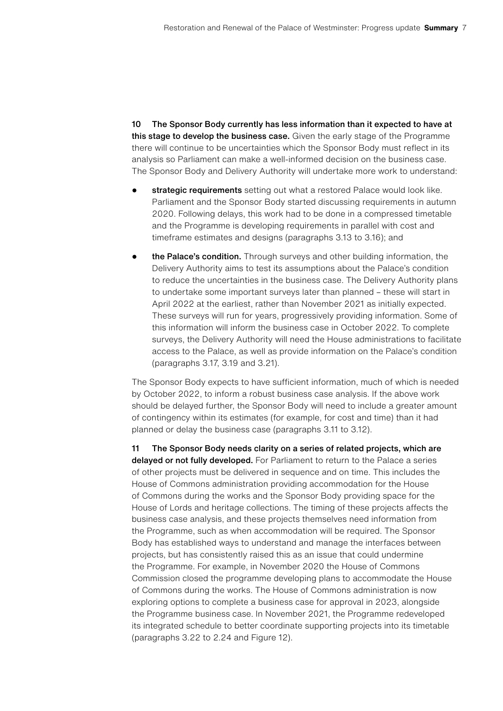10 The Sponsor Body currently has less information than it expected to have at this stage to develop the business case. Given the early stage of the Programme there will continue to be uncertainties which the Sponsor Body must reflect in its analysis so Parliament can make a well-informed decision on the business case. The Sponsor Body and Delivery Authority will undertake more work to understand:

- strategic requirements setting out what a restored Palace would look like. Parliament and the Sponsor Body started discussing requirements in autumn 2020. Following delays, this work had to be done in a compressed timetable and the Programme is developing requirements in parallel with cost and timeframe estimates and designs (paragraphs 3.13 to 3.16); and
- the Palace's condition. Through surveys and other building information, the Delivery Authority aims to test its assumptions about the Palace's condition to reduce the uncertainties in the business case. The Delivery Authority plans to undertake some important surveys later than planned – these will start in April 2022 at the earliest, rather than November 2021 as initially expected. These surveys will run for years, progressively providing information. Some of this information will inform the business case in October 2022. To complete surveys, the Delivery Authority will need the House administrations to facilitate access to the Palace, as well as provide information on the Palace's condition (paragraphs 3.17, 3.19 and 3.21).

The Sponsor Body expects to have sufficient information, much of which is needed by October 2022, to inform a robust business case analysis. If the above work should be delayed further, the Sponsor Body will need to include a greater amount of contingency within its estimates (for example, for cost and time) than it had planned or delay the business case (paragraphs 3.11 to 3.12).

11 The Sponsor Body needs clarity on a series of related projects, which are delayed or not fully developed. For Parliament to return to the Palace a series of other projects must be delivered in sequence and on time. This includes the House of Commons administration providing accommodation for the House of Commons during the works and the Sponsor Body providing space for the House of Lords and heritage collections. The timing of these projects affects the business case analysis, and these projects themselves need information from the Programme, such as when accommodation will be required. The Sponsor Body has established ways to understand and manage the interfaces between projects, but has consistently raised this as an issue that could undermine the Programme. For example, in November 2020 the House of Commons Commission closed the programme developing plans to accommodate the House of Commons during the works. The House of Commons administration is now exploring options to complete a business case for approval in 2023, alongside the Programme business case. In November 2021, the Programme redeveloped its integrated schedule to better coordinate supporting projects into its timetable (paragraphs 3.22 to 2.24 and Figure 12).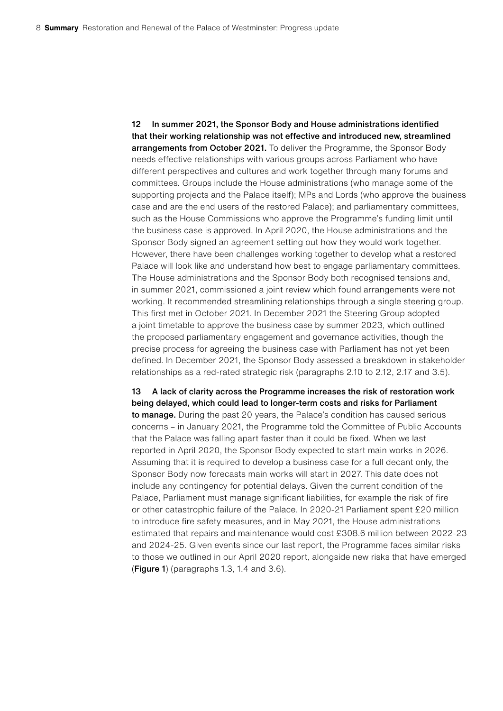12 In summer 2021, the Sponsor Body and House administrations identified that their working relationship was not effective and introduced new, streamlined arrangements from October 2021. To deliver the Programme, the Sponsor Body needs effective relationships with various groups across Parliament who have different perspectives and cultures and work together through many forums and committees. Groups include the House administrations (who manage some of the supporting projects and the Palace itself); MPs and Lords (who approve the business case and are the end users of the restored Palace); and parliamentary committees, such as the House Commissions who approve the Programme's funding limit until the business case is approved. In April 2020, the House administrations and the Sponsor Body signed an agreement setting out how they would work together. However, there have been challenges working together to develop what a restored Palace will look like and understand how best to engage parliamentary committees. The House administrations and the Sponsor Body both recognised tensions and, in summer 2021, commissioned a joint review which found arrangements were not working. It recommended streamlining relationships through a single steering group. This first met in October 2021. In December 2021 the Steering Group adopted a joint timetable to approve the business case by summer 2023, which outlined the proposed parliamentary engagement and governance activities, though the precise process for agreeing the business case with Parliament has not yet been defined. In December 2021, the Sponsor Body assessed a breakdown in stakeholder relationships as a red-rated strategic risk (paragraphs 2.10 to 2.12, 2.17 and 3.5).

13 A lack of clarity across the Programme increases the risk of restoration work being delayed, which could lead to longer-term costs and risks for Parliament to manage. During the past 20 years, the Palace's condition has caused serious concerns – in January 2021, the Programme told the Committee of Public Accounts that the Palace was falling apart faster than it could be fixed. When we last reported in April 2020, the Sponsor Body expected to start main works in 2026. Assuming that it is required to develop a business case for a full decant only, the Sponsor Body now forecasts main works will start in 2027. This date does not include any contingency for potential delays. Given the current condition of the Palace, Parliament must manage significant liabilities, for example the risk of fire or other catastrophic failure of the Palace. In 2020-21 Parliament spent £20 million to introduce fire safety measures, and in May 2021, the House administrations estimated that repairs and maintenance would cost £308.6 million between 2022-23 and 2024-25. Given events since our last report, the Programme faces similar risks to those we outlined in our April 2020 report, alongside new risks that have emerged (Figure 1) (paragraphs 1.3, 1.4 and 3.6).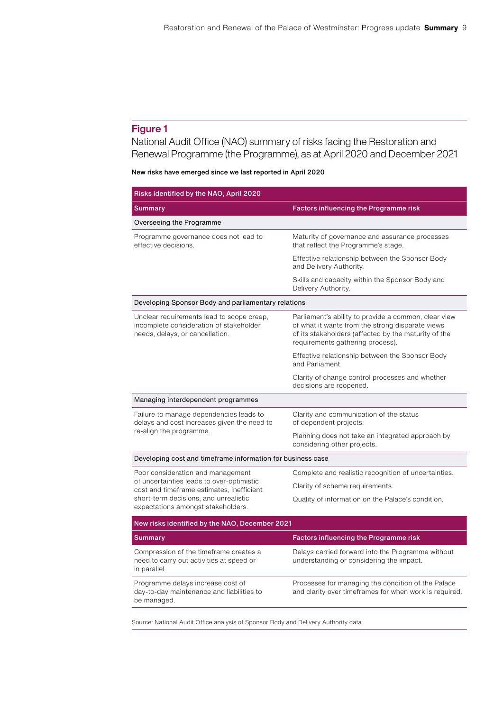# Figure 1

National Audit Office (NAO) summary of risks facing the Restoration and Renewal Programme (the Programme), as at April 2020 and December 2021

#### New risks have emerged since we last reported in April 2020

| Risks identified by the NAO, April 2020                                                                                                                                                                    |                                                                                                                                                                                                      |
|------------------------------------------------------------------------------------------------------------------------------------------------------------------------------------------------------------|------------------------------------------------------------------------------------------------------------------------------------------------------------------------------------------------------|
| <b>Summary</b>                                                                                                                                                                                             | Factors influencing the Programme risk                                                                                                                                                               |
| Overseeing the Programme                                                                                                                                                                                   |                                                                                                                                                                                                      |
| Programme governance does not lead to<br>effective decisions.                                                                                                                                              | Maturity of governance and assurance processes<br>that reflect the Programme's stage.                                                                                                                |
|                                                                                                                                                                                                            | Effective relationship between the Sponsor Body<br>and Delivery Authority.                                                                                                                           |
|                                                                                                                                                                                                            | Skills and capacity within the Sponsor Body and<br>Delivery Authority.                                                                                                                               |
| Developing Sponsor Body and parliamentary relations                                                                                                                                                        |                                                                                                                                                                                                      |
| Unclear requirements lead to scope creep,<br>incomplete consideration of stakeholder<br>needs, delays, or cancellation.                                                                                    | Parliament's ability to provide a common, clear view<br>of what it wants from the strong disparate views<br>of its stakeholders (affected by the maturity of the<br>requirements gathering process). |
|                                                                                                                                                                                                            | Effective relationship between the Sponsor Body<br>and Parliament.                                                                                                                                   |
|                                                                                                                                                                                                            | Clarity of change control processes and whether<br>decisions are reopened.                                                                                                                           |
| Managing interdependent programmes                                                                                                                                                                         |                                                                                                                                                                                                      |
| Failure to manage dependencies leads to<br>delays and cost increases given the need to<br>re-align the programme.                                                                                          | Clarity and communication of the status<br>of dependent projects.                                                                                                                                    |
|                                                                                                                                                                                                            | Planning does not take an integrated approach by<br>considering other projects.                                                                                                                      |
| Developing cost and timeframe information for business case                                                                                                                                                |                                                                                                                                                                                                      |
| Poor consideration and management<br>of uncertainties leads to over-optimistic<br>cost and timeframe estimates, inefficient<br>short-term decisions, and unrealistic<br>expectations amongst stakeholders. | Complete and realistic recognition of uncertainties.                                                                                                                                                 |
|                                                                                                                                                                                                            | Clarity of scheme requirements.                                                                                                                                                                      |
|                                                                                                                                                                                                            | Quality of information on the Palace's condition.                                                                                                                                                    |
| New risks identified by the NAO, December 2021                                                                                                                                                             |                                                                                                                                                                                                      |
| Summary                                                                                                                                                                                                    | Factors influencing the Programme risk                                                                                                                                                               |
| Compression of the timeframe creates a<br>need to carry out activities at speed or<br>in parallel.                                                                                                         | Delays carried forward into the Programme without<br>understanding or considering the impact.                                                                                                        |
| Programme delays increase cost of<br>day-to-day maintenance and liabilities to<br>be managed.                                                                                                              | Processes for managing the condition of the Palace<br>and clarity over timeframes for when work is required.                                                                                         |

Source: National Audit Office analysis of Sponsor Body and Delivery Authority data